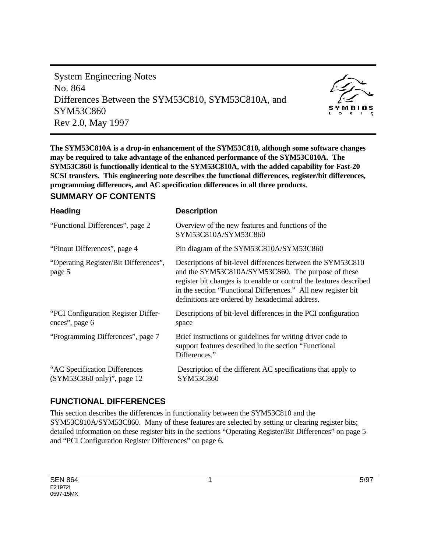System Engineering Notes No. 864 Differences Between the SYM53C810, SYM53C810A, and SYM53C860 Rev 2.0, May 1997



**The SYM53C810A is a drop-in enhancement of the SYM53C810, although some software changes may be required to take advantage of the enhanced performance of the SYM53C810A. The SYM53C860 is functionally identical to the SYM53C810A, with the added capability for Fast-20 SCSI transfers. This engineering note describes the functional differences, register/bit differences, programming differences, and AC specification differences in all three products.**

#### **SUMMARY OF CONTENTS**

| <b>Heading</b>                                              | <b>Description</b>                                                                                                                                                                                                                                                                                           |
|-------------------------------------------------------------|--------------------------------------------------------------------------------------------------------------------------------------------------------------------------------------------------------------------------------------------------------------------------------------------------------------|
| "Functional Differences", page 2                            | Overview of the new features and functions of the<br>SYM53C810A/SYM53C860                                                                                                                                                                                                                                    |
| "Pinout Differences", page 4                                | Pin diagram of the SYM53C810A/SYM53C860                                                                                                                                                                                                                                                                      |
| "Operating Register/Bit Differences",<br>page 5             | Descriptions of bit-level differences between the SYM53C810<br>and the SYM53C810A/SYM53C860. The purpose of these<br>register bit changes is to enable or control the features described<br>in the section "Functional Differences." All new register bit<br>definitions are ordered by hexadecimal address. |
| "PCI Configuration Register Differ-<br>ences", page 6       | Descriptions of bit-level differences in the PCI configuration<br>space                                                                                                                                                                                                                                      |
| "Programming Differences", page 7                           | Brief instructions or guidelines for writing driver code to<br>support features described in the section "Functional<br>Differences."                                                                                                                                                                        |
| "AC Specification Differences<br>(SYM53C860 only)", page 12 | Description of the different AC specifications that apply to<br>SYM53C860                                                                                                                                                                                                                                    |
|                                                             |                                                                                                                                                                                                                                                                                                              |

### **FUNCTIONAL DIFFERENCES**

This section describes the differences in functionality between the SYM53C810 and the SYM53C810A/SYM53C860. Many of these features are selected by setting or clearing register bits; detailed information on these register bits in the sections "Operating Register/Bit Differences" on page 5 and "PCI Configuration Register Differences" on page 6.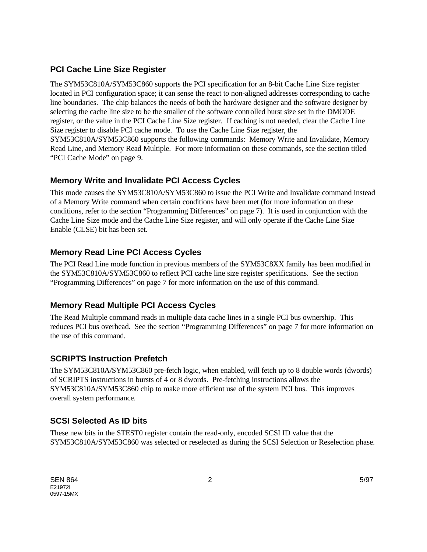## **PCI Cache Line Size Register**

The SYM53C810A/SYM53C860 supports the PCI specification for an 8-bit Cache Line Size register located in PCI configuration space; it can sense the react to non-aligned addresses corresponding to cache line boundaries. The chip balances the needs of both the hardware designer and the software designer by selecting the cache line size to be the smaller of the software controlled burst size set in the DMODE register, or the value in the PCI Cache Line Size register. If caching is not needed, clear the Cache Line Size register to disable PCI cache mode. To use the Cache Line Size register, the SYM53C810A/SYM53C860 supports the following commands: Memory Write and Invalidate, Memory Read Line, and Memory Read Multiple. For more information on these commands, see the section titled "PCI Cache Mode" on page 9.

## **Memory Write and Invalidate PCI Access Cycles**

This mode causes the SYM53C810A/SYM53C860 to issue the PCI Write and Invalidate command instead of a Memory Write command when certain conditions have been met (for more information on these conditions, refer to the section "Programming Differences" on page 7). It is used in conjunction with the Cache Line Size mode and the Cache Line Size register, and will only operate if the Cache Line Size Enable (CLSE) bit has been set.

## **Memory Read Line PCI Access Cycles**

The PCI Read Line mode function in previous members of the SYM53C8XX family has been modified in the SYM53C810A/SYM53C860 to reflect PCI cache line size register specifications. See the section "Programming Differences" on page 7 for more information on the use of this command.

## **Memory Read Multiple PCI Access Cycles**

The Read Multiple command reads in multiple data cache lines in a single PCI bus ownership. This reduces PCI bus overhead. See the section "Programming Differences" on page 7 for more information on the use of this command.

## **SCRIPTS Instruction Prefetch**

The SYM53C810A/SYM53C860 pre-fetch logic, when enabled, will fetch up to 8 double words (dwords) of SCRIPTS instructions in bursts of 4 or 8 dwords. Pre-fetching instructions allows the SYM53C810A/SYM53C860 chip to make more efficient use of the system PCI bus. This improves overall system performance.

## **SCSI Selected As ID bits**

These new bits in the STEST0 register contain the read-only, encoded SCSI ID value that the SYM53C810A/SYM53C860 was selected or reselected as during the SCSI Selection or Reselection phase.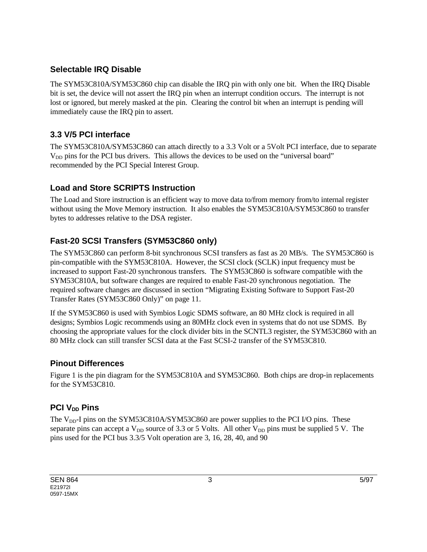### **Selectable IRQ Disable**

The SYM53C810A/SYM53C860 chip can disable the IRQ pin with only one bit. When the IRQ Disable bit is set, the device will not assert the IRQ pin when an interrupt condition occurs. The interrupt is not lost or ignored, but merely masked at the pin. Clearing the control bit when an interrupt is pending will immediately cause the IRQ pin to assert.

## **3.3 V/5 PCI interface**

The SYM53C810A/SYM53C860 can attach directly to a 3.3 Volt or a 5Volt PCI interface, due to separate V<sub>DD</sub> pins for the PCI bus drivers. This allows the devices to be used on the "universal board" recommended by the PCI Special Interest Group.

## **Load and Store SCRIPTS Instruction**

The Load and Store instruction is an efficient way to move data to/from memory from/to internal register without using the Move Memory instruction. It also enables the SYM53C810A/SYM53C860 to transfer bytes to addresses relative to the DSA register.

## **Fast-20 SCSI Transfers (SYM53C860 only)**

The SYM53C860 can perform 8-bit synchronous SCSI transfers as fast as 20 MB/s. The SYM53C860 is pin-compatible with the SYM53C810A. However, the SCSI clock (SCLK) input frequency must be increased to support Fast-20 synchronous transfers. The SYM53C860 is software compatible with the SYM53C810A, but software changes are required to enable Fast-20 synchronous negotiation. The required software changes are discussed in section "Migrating Existing Software to Support Fast-20 Transfer Rates (SYM53C860 Only)" on page 11.

If the SYM53C860 is used with Symbios Logic SDMS software, an 80 MHz clock is required in all designs; Symbios Logic recommends using an 80MHz clock even in systems that do not use SDMS. By choosing the appropriate values for the clock divider bits in the SCNTL3 register, the SYM53C860 with an 80 MHz clock can still transfer SCSI data at the Fast SCSI-2 transfer of the SYM53C810.

## **Pinout Differences**

Figure 1 is the pin diagram for the SYM53C810A and SYM53C860. Both chips are drop-in replacements for the SYM53C810.

## **PCI V<sub>DD</sub>** Pins

The  $V_{DD}$ -I pins on the SYM53C810A/SYM53C860 are power supplies to the PCI I/O pins. These separate pins can accept a  $V_{DD}$  source of 3.3 or 5 Volts. All other  $V_{DD}$  pins must be supplied 5 V. The pins used for the PCI bus 3.3/5 Volt operation are 3, 16, 28, 40, and 90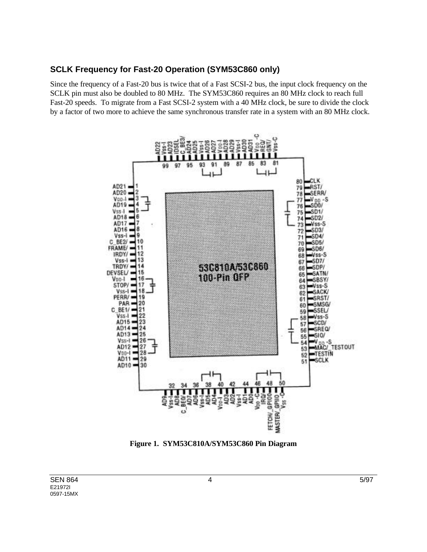#### **SCLK Frequency for Fast-20 Operation (SYM53C860 only)**

Since the frequency of a Fast-20 bus is twice that of a Fast SCSI-2 bus, the input clock frequency on the SCLK pin must also be doubled to 80 MHz. The SYM53C860 requires an 80 MHz clock to reach full Fast-20 speeds. To migrate from a Fast SCSI-2 system with a 40 MHz clock, be sure to divide the clock by a factor of two more to achieve the same synchronous transfer rate in a system with an 80 MHz clock.



**Figure 1. SYM53C810A/SYM53C860 Pin Diagram**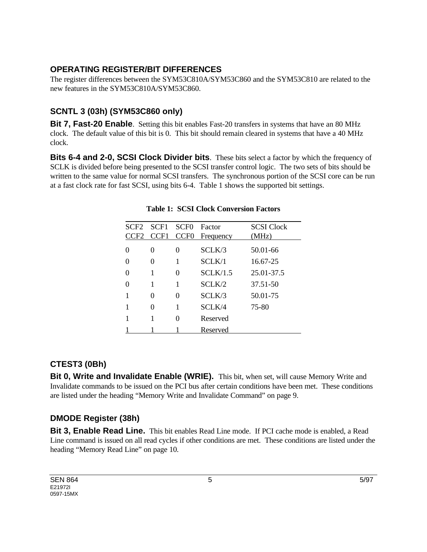### **OPERATING REGISTER/BIT DIFFERENCES**

The register differences between the SYM53C810A/SYM53C860 and the SYM53C810 are related to the new features in the SYM53C810A/SYM53C860.

## **SCNTL 3 (03h) (SYM53C860 only)**

**Bit 7, Fast-20 Enable**. Setting this bit enables Fast-20 transfers in systems that have an 80 MHz clock. The default value of this bit is 0. This bit should remain cleared in systems that have a 40 MHz clock.

**Bits 6-4 and 2-0, SCSI Clock Divider bits**. These bits select a factor by which the frequency of SCLK is divided before being presented to the SCSI transfer control logic. The two sets of bits should be written to the same value for normal SCSI transfers. The synchronous portion of the SCSI core can be run at a fast clock rate for fast SCSI, using bits 6-4. Table 1 shows the supported bit settings.

| SCF2     | SCF1     | SCF <sub>0</sub> | Factor    | <b>SCSI</b> Clock |
|----------|----------|------------------|-----------|-------------------|
| CF2      | CCF1     | CCF <sub>0</sub> | Frequency | (MHz)             |
| $\Omega$ | 0        | 0                | SCLK/3    | 50.01-66          |
|          | 0        | 1                | SCI K/1   | 16.67-25          |
|          | 1        | 0                | SCI K/1.5 | 25.01-37.5        |
|          | 1        | 1                | SCI K/2   | 37.51-50          |
|          | 0        | 0                | SCLK/3    | 50.01-75          |
|          | $\theta$ | 1                | SCLK/4    | 75-80             |
|          |          | 0                | Reserved  |                   |
|          |          |                  | Reserved  |                   |

#### **Table 1: SCSI Clock Conversion Factors**

### **CTEST3 (0Bh)**

**Bit 0, Write and Invalidate Enable (WRIE).** This bit, when set, will cause Memory Write and Invalidate commands to be issued on the PCI bus after certain conditions have been met. These conditions are listed under the heading "Memory Write and Invalidate Command" on page 9.

## **DMODE Register (38h)**

**Bit 3, Enable Read Line.** This bit enables Read Line mode. If PCI cache mode is enabled, a Read Line command is issued on all read cycles if other conditions are met. These conditions are listed under the heading "Memory Read Line" on page 10.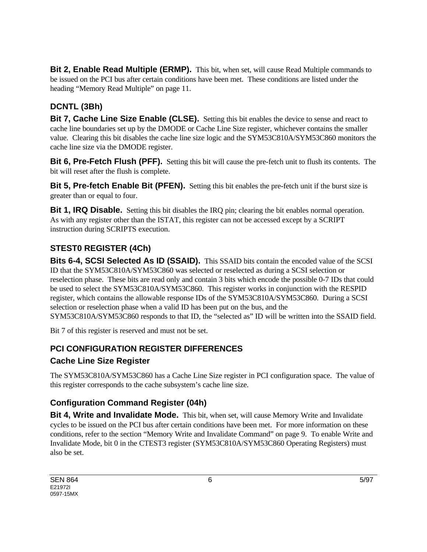**Bit 2, Enable Read Multiple (ERMP).** This bit, when set, will cause Read Multiple commands to be issued on the PCI bus after certain conditions have been met. These conditions are listed under the heading "Memory Read Multiple" on page 11.

# **DCNTL (3Bh)**

**Bit 7, Cache Line Size Enable (CLSE).** Setting this bit enables the device to sense and react to cache line boundaries set up by the DMODE or Cache Line Size register, whichever contains the smaller value. Clearing this bit disables the cache line size logic and the SYM53C810A/SYM53C860 monitors the cache line size via the DMODE register.

**Bit 6, Pre-Fetch Flush (PFF).** Setting this bit will cause the pre-fetch unit to flush its contents. The bit will reset after the flush is complete.

**Bit 5, Pre-fetch Enable Bit (PFEN).** Setting this bit enables the pre-fetch unit if the burst size is greater than or equal to four.

**Bit 1, IRQ Disable.** Setting this bit disables the IRQ pin; clearing the bit enables normal operation. As with any register other than the ISTAT, this register can not be accessed except by a SCRIPT instruction during SCRIPTS execution.

# **STEST0 REGISTER (4Ch)**

**Bits 6-4, SCSI Selected As ID (SSAID).** This SSAID bits contain the encoded value of the SCSI ID that the SYM53C810A/SYM53C860 was selected or reselected as during a SCSI selection or reselection phase. These bits are read only and contain 3 bits which encode the possible 0-7 IDs that could be used to select the SYM53C810A/SYM53C860. This register works in conjunction with the RESPID register, which contains the allowable response IDs of the SYM53C810A/SYM53C860. During a SCSI selection or reselection phase when a valid ID has been put on the bus, and the SYM53C810A/SYM53C860 responds to that ID, the "selected as" ID will be written into the SSAID field.

Bit 7 of this register is reserved and must not be set.

## **PCI CONFIGURATION REGISTER DIFFERENCES**

## **Cache Line Size Register**

The SYM53C810A/SYM53C860 has a Cache Line Size register in PCI configuration space. The value of this register corresponds to the cache subsystem's cache line size.

## **Configuration Command Register (04h)**

**Bit 4, Write and Invalidate Mode.** This bit, when set, will cause Memory Write and Invalidate cycles to be issued on the PCI bus after certain conditions have been met. For more information on these conditions, refer to the section "Memory Write and Invalidate Command" on page 9. To enable Write and Invalidate Mode, bit 0 in the CTEST3 register (SYM53C810A/SYM53C860 Operating Registers) must also be set.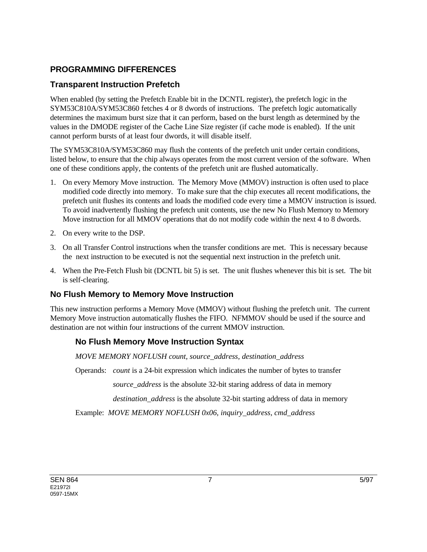### **PROGRAMMING DIFFERENCES**

### **Transparent Instruction Prefetch**

When enabled (by setting the Prefetch Enable bit in the DCNTL register), the prefetch logic in the SYM53C810A/SYM53C860 fetches 4 or 8 dwords of instructions. The prefetch logic automatically determines the maximum burst size that it can perform, based on the burst length as determined by the values in the DMODE register of the Cache Line Size register (if cache mode is enabled). If the unit cannot perform bursts of at least four dwords, it will disable itself.

The SYM53C810A/SYM53C860 may flush the contents of the prefetch unit under certain conditions, listed below, to ensure that the chip always operates from the most current version of the software. When one of these conditions apply, the contents of the prefetch unit are flushed automatically.

- 1. On every Memory Move instruction. The Memory Move (MMOV) instruction is often used to place modified code directly into memory. To make sure that the chip executes all recent modifications, the prefetch unit flushes its contents and loads the modified code every time a MMOV instruction is issued. To avoid inadvertently flushing the prefetch unit contents, use the new No Flush Memory to Memory Move instruction for all MMOV operations that do not modify code within the next 4 to 8 dwords.
- 2. On every write to the DSP.
- 3. On all Transfer Control instructions when the transfer conditions are met. This is necessary because the next instruction to be executed is not the sequential next instruction in the prefetch unit.
- 4. When the Pre-Fetch Flush bit (DCNTL bit 5) is set. The unit flushes whenever this bit is set. The bit is self-clearing.

## **No Flush Memory to Memory Move Instruction**

This new instruction performs a Memory Move (MMOV) without flushing the prefetch unit. The current Memory Move instruction automatically flushes the FIFO. NFMMOV should be used if the source and destination are not within four instructions of the current MMOV instruction.

## **No Flush Memory Move Instruction Syntax**

*MOVE MEMORY NOFLUSH count, source\_address, destination\_address*

Operands: *count* is a 24-bit expression which indicates the number of bytes to transfer

*source\_address* is the absolute 32-bit staring address of data in memory

*destination\_address* is the absolute 32-bit starting address of data in memory

Example: *MOVE MEMORY NOFLUSH 0x06, inquiry\_address, cmd\_address*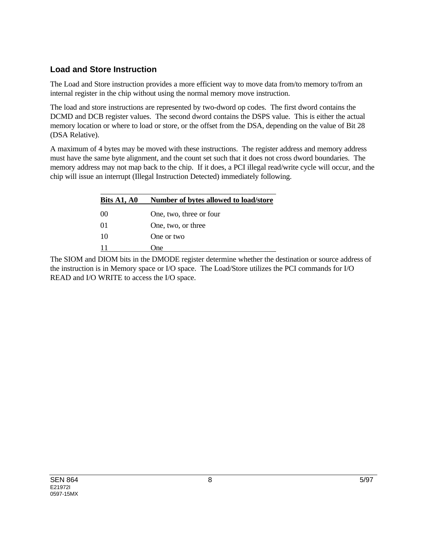### **Load and Store Instruction**

The Load and Store instruction provides a more efficient way to move data from/to memory to/from an internal register in the chip without using the normal memory move instruction.

The load and store instructions are represented by two-dword op codes. The first dword contains the DCMD and DCB register values. The second dword contains the DSPS value. This is either the actual memory location or where to load or store, or the offset from the DSA, depending on the value of Bit 28 (DSA Relative).

A maximum of 4 bytes may be moved with these instructions. The register address and memory address must have the same byte alignment, and the count set such that it does not cross dword boundaries. The memory address may not map back to the chip. If it does, a PCI illegal read/write cycle will occur, and the chip will issue an interrupt (Illegal Instruction Detected) immediately following.

| Bits A1, A0 | Number of bytes allowed to load/store |
|-------------|---------------------------------------|
| $($ $()()$  | One, two, three or four               |
| $_{01}$     | One, two, or three                    |
| 10          | One or two                            |
|             | One)                                  |

The SIOM and DIOM bits in the DMODE register determine whether the destination or source address of the instruction is in Memory space or I/O space. The Load/Store utilizes the PCI commands for I/O READ and I/O WRITE to access the I/O space.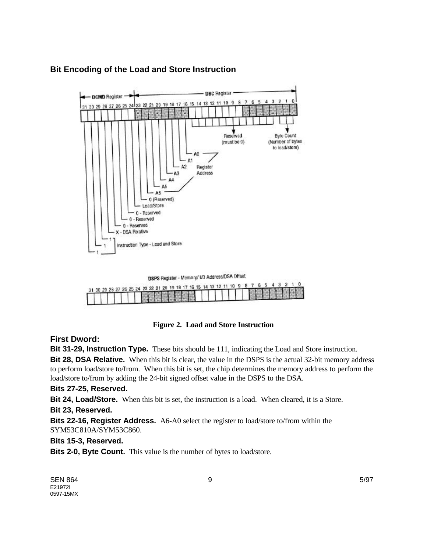

### **Bit Encoding of the Load and Store Instruction**

DSPS Register - Memory/ I/O Address/DSA Offset

|  |  |  |  |  |  |  |  |  |  |  |  |  |  |  | 31 30 29 28 27 26 25 24 23 22 21 20 19 18 17 16 15 14 13 12 11 10 9 8 7 6 5 4 3 2 1 0 |
|--|--|--|--|--|--|--|--|--|--|--|--|--|--|--|---------------------------------------------------------------------------------------|
|  |  |  |  |  |  |  |  |  |  |  |  |  |  |  | THE THE RESISTANCE OF THE RESISTANCE.                                                 |

#### **Figure 2. Load and Store Instruction**

#### **First Dword:**

**Bit 31-29, Instruction Type.** These bits should be 111, indicating the Load and Store instruction. **Bit 28, DSA Relative.** When this bit is clear, the value in the DSPS is the actual 32-bit memory address to perform load/store to/from. When this bit is set, the chip determines the memory address to perform the load/store to/from by adding the 24-bit signed offset value in the DSPS to the DSA.

#### **Bits 27-25, Reserved.**

**Bit 24, Load/Store.** When this bit is set, the instruction is a load. When cleared, it is a Store.

#### **Bit 23, Reserved.**

**Bits 22-16, Register Address.** A6-A0 select the register to load/store to/from within the SYM53C810A/SYM53C860.

#### **Bits 15-3, Reserved.**

**Bits 2-0, Byte Count.** This value is the number of bytes to load/store.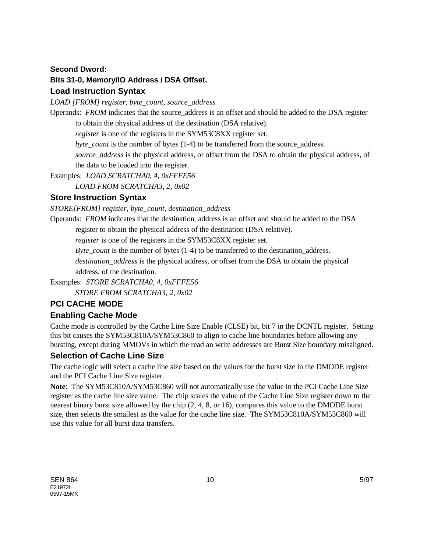#### **Second Dword:**

### **Bits 31-0, Memory/IO Address / DSA Offset.**

### **Load Instruction Syntax**

*LOAD [FROM] register, byte\_count, source\_address*

Operands: *FROM* indicates that the source address is an offset and should be added to the DSA register to obtain the physical address of the destination (DSA relative).

*register* is one of the registers in the SYM53C8XX register set.

*byte\_count* is the number of bytes (1-4) to be transferred from the source\_address.

*source\_address* is the physical address, or offset from the DSA to obtain the physical address, of the data to be loaded into the register.

Examples: *LOAD SCRATCHA0, 4, 0xFFFE56*

*LOAD FROM SCRATCHA3, 2, 0x02*

### **Store Instruction Syntax**

*STORE[FROM] register, byte\_count, destination\_address*

Operands: *FROM* indicates that the destination\_address is an offset and should be added to the DSA

register to obtain the physical address of the destination (DSA relative).

*register* is one of the registers in the SYM53C8XX register set.

*Byte\_count* is the number of bytes (1-4) to be transferred to the destination address.

*destination\_address* is the physical address, or offset from the DSA to obtain the physical address, of the destination.

Examples: *STORE SCRATCHA0, 4, 0xFFFE56*

*STORE FROM SCRATCHA3, 2, 0x02*

## **PCI CACHE MODE**

## **Enabling Cache Mode**

Cache mode is controlled by the Cache Line Size Enable (CLSE) bit, bit 7 in the DCNTL register. Setting this bit causes the SYM53C810A/SYM53C860 to align to cache line boundaries before allowing any bursting, except during MMOVs in which the read an write addresses are Burst Size boundary misaligned.

### **Selection of Cache Line Size**

The cache logic will select a cache line size based on the values for the burst size in the DMODE register and the PCI Cache Line Size register.

**Note**: The SYM53C810A/SYM53C860 will not automatically use the value in the PCI Cache Line Size register as the cache line size value. The chip scales the value of the Cache Line Size register down to the nearest binary burst size allowed by the chip (2, 4, 8, or 16), compares this value to the DMODE burst size, then selects the smallest as the value for the cache line size. The SYM53C810A/SYM53C860 will use this value for all burst data transfers.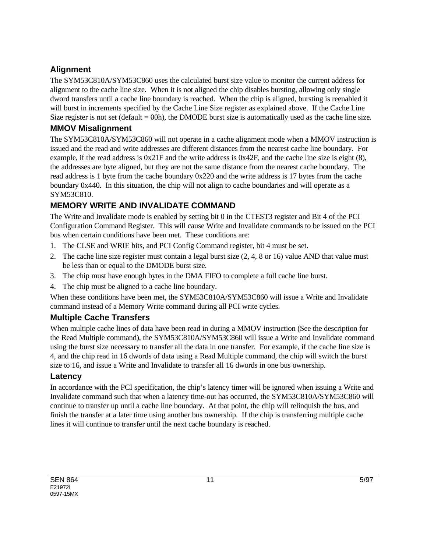## **Alignment**

The SYM53C810A/SYM53C860 uses the calculated burst size value to monitor the current address for alignment to the cache line size. When it is not aligned the chip disables bursting, allowing only single dword transfers until a cache line boundary is reached. When the chip is aligned, bursting is reenabled it will burst in increments specified by the Cache Line Size register as explained above. If the Cache Line Size register is not set (default  $= 00h$ ), the DMODE burst size is automatically used as the cache line size.

## **MMOV Misalignment**

The SYM53C810A/SYM53C860 will not operate in a cache alignment mode when a MMOV instruction is issued and the read and write addresses are different distances from the nearest cache line boundary. For example, if the read address is 0x21F and the write address is 0x42F, and the cache line size is eight (8), the addresses are byte aligned, but they are not the same distance from the nearest cache boundary. The read address is 1 byte from the cache boundary 0x220 and the write address is 17 bytes from the cache boundary 0x440. In this situation, the chip will not align to cache boundaries and will operate as a SYM53C810.

## **MEMORY WRITE AND INVALIDATE COMMAND**

The Write and Invalidate mode is enabled by setting bit 0 in the CTEST3 register and Bit 4 of the PCI Configuration Command Register. This will cause Write and Invalidate commands to be issued on the PCI bus when certain conditions have been met. These conditions are:

- 1. The CLSE and WRIE bits, and PCI Config Command register, bit 4 must be set.
- 2. The cache line size register must contain a legal burst size (2, 4, 8 or 16) value AND that value must be less than or equal to the DMODE burst size.
- 3. The chip must have enough bytes in the DMA FIFO to complete a full cache line burst.
- 4. The chip must be aligned to a cache line boundary.

When these conditions have been met, the SYM53C810A/SYM53C860 will issue a Write and Invalidate command instead of a Memory Write command during all PCI write cycles.

## **Multiple Cache Transfers**

When multiple cache lines of data have been read in during a MMOV instruction (See the description for the Read Multiple command), the SYM53C810A/SYM53C860 will issue a Write and Invalidate command using the burst size necessary to transfer all the data in one transfer. For example, if the cache line size is 4, and the chip read in 16 dwords of data using a Read Multiple command, the chip will switch the burst size to 16, and issue a Write and Invalidate to transfer all 16 dwords in one bus ownership.

### **Latency**

In accordance with the PCI specification, the chip's latency timer will be ignored when issuing a Write and Invalidate command such that when a latency time-out has occurred, the SYM53C810A/SYM53C860 will continue to transfer up until a cache line boundary. At that point, the chip will relinquish the bus, and finish the transfer at a later time using another bus ownership. If the chip is transferring multiple cache lines it will continue to transfer until the next cache boundary is reached.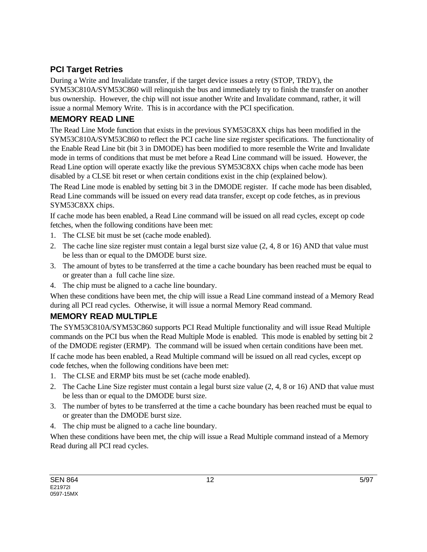## **PCI Target Retries**

During a Write and Invalidate transfer, if the target device issues a retry (STOP, TRDY), the SYM53C810A/SYM53C860 will relinquish the bus and immediately try to finish the transfer on another bus ownership. However, the chip will not issue another Write and Invalidate command, rather, it will issue a normal Memory Write. This is in accordance with the PCI specification.

### **MEMORY READ LINE**

The Read Line Mode function that exists in the previous SYM53C8XX chips has been modified in the SYM53C810A/SYM53C860 to reflect the PCI cache line size register specifications. The functionality of the Enable Read Line bit (bit 3 in DMODE) has been modified to more resemble the Write and Invalidate mode in terms of conditions that must be met before a Read Line command will be issued. However, the Read Line option will operate exactly like the previous SYM53C8XX chips when cache mode has been disabled by a CLSE bit reset or when certain conditions exist in the chip (explained below).

The Read Line mode is enabled by setting bit 3 in the DMODE register. If cache mode has been disabled, Read Line commands will be issued on every read data transfer, except op code fetches, as in previous SYM53C8XX chips.

If cache mode has been enabled, a Read Line command will be issued on all read cycles, except op code fetches, when the following conditions have been met:

- 1. The CLSE bit must be set (cache mode enabled).
- 2. The cache line size register must contain a legal burst size value (2, 4, 8 or 16) AND that value must be less than or equal to the DMODE burst size.
- 3. The amount of bytes to be transferred at the time a cache boundary has been reached must be equal to or greater than a full cache line size.
- 4. The chip must be aligned to a cache line boundary.

When these conditions have been met, the chip will issue a Read Line command instead of a Memory Read during all PCI read cycles. Otherwise, it will issue a normal Memory Read command.

## **MEMORY READ MULTIPLE**

The SYM53C810A/SYM53C860 supports PCI Read Multiple functionality and will issue Read Multiple commands on the PCI bus when the Read Multiple Mode is enabled. This mode is enabled by setting bit 2 of the DMODE register (ERMP). The command will be issued when certain conditions have been met. If cache mode has been enabled, a Read Multiple command will be issued on all read cycles, except op code fetches, when the following conditions have been met:

- 1. The CLSE and ERMP bits must be set (cache mode enabled).
- 2. The Cache Line Size register must contain a legal burst size value (2, 4, 8 or 16) AND that value must be less than or equal to the DMODE burst size.
- 3. The number of bytes to be transferred at the time a cache boundary has been reached must be equal to or greater than the DMODE burst size.
- 4. The chip must be aligned to a cache line boundary.

When these conditions have been met, the chip will issue a Read Multiple command instead of a Memory Read during all PCI read cycles.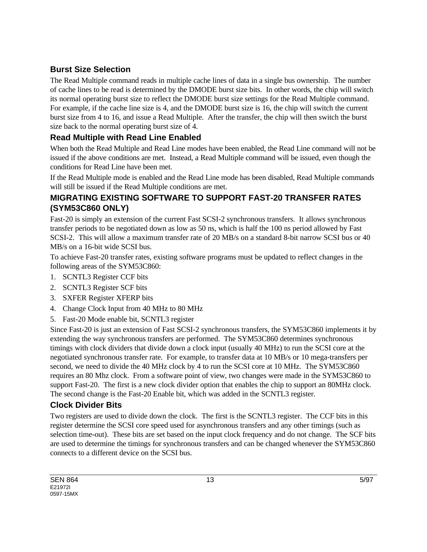## **Burst Size Selection**

The Read Multiple command reads in multiple cache lines of data in a single bus ownership. The number of cache lines to be read is determined by the DMODE burst size bits. In other words, the chip will switch its normal operating burst size to reflect the DMODE burst size settings for the Read Multiple command. For example, if the cache line size is 4, and the DMODE burst size is 16, the chip will switch the current burst size from 4 to 16, and issue a Read Multiple. After the transfer, the chip will then switch the burst size back to the normal operating burst size of 4.

## **Read Multiple with Read Line Enabled**

When both the Read Multiple and Read Line modes have been enabled, the Read Line command will not be issued if the above conditions are met. Instead, a Read Multiple command will be issued, even though the conditions for Read Line have been met.

If the Read Multiple mode is enabled and the Read Line mode has been disabled, Read Multiple commands will still be issued if the Read Multiple conditions are met.

## **MIGRATING EXISTING SOFTWARE TO SUPPORT FAST-20 TRANSFER RATES (SYM53C860 ONLY)**

Fast-20 is simply an extension of the current Fast SCSI-2 synchronous transfers. It allows synchronous transfer periods to be negotiated down as low as 50 ns, which is half the 100 ns period allowed by Fast SCSI-2. This will allow a maximum transfer rate of 20 MB/s on a standard 8-bit narrow SCSI bus or 40 MB/s on a 16-bit wide SCSI bus.

To achieve Fast-20 transfer rates, existing software programs must be updated to reflect changes in the following areas of the SYM53C860:

- 1. SCNTL3 Register CCF bits
- 2. SCNTL3 Register SCF bits
- 3. SXFER Register XFERP bits
- 4. Change Clock Input from 40 MHz to 80 MHz
- 5. Fast-20 Mode enable bit, SCNTL3 register

Since Fast-20 is just an extension of Fast SCSI-2 synchronous transfers, the SYM53C860 implements it by extending the way synchronous transfers are performed. The SYM53C860 determines synchronous timings with clock dividers that divide down a clock input (usually 40 MHz) to run the SCSI core at the negotiated synchronous transfer rate. For example, to transfer data at 10 MB/s or 10 mega-transfers per second, we need to divide the 40 MHz clock by 4 to run the SCSI core at 10 MHz. The SYM53C860 requires an 80 Mhz clock. From a software point of view, two changes were made in the SYM53C860 to support Fast-20. The first is a new clock divider option that enables the chip to support an 80MHz clock. The second change is the Fast-20 Enable bit, which was added in the SCNTL3 register.

## **Clock Divider Bits**

Two registers are used to divide down the clock. The first is the SCNTL3 register. The CCF bits in this register determine the SCSI core speed used for asynchronous transfers and any other timings (such as selection time-out). These bits are set based on the input clock frequency and do not change. The SCF bits are used to determine the timings for synchronous transfers and can be changed whenever the SYM53C860 connects to a different device on the SCSI bus.